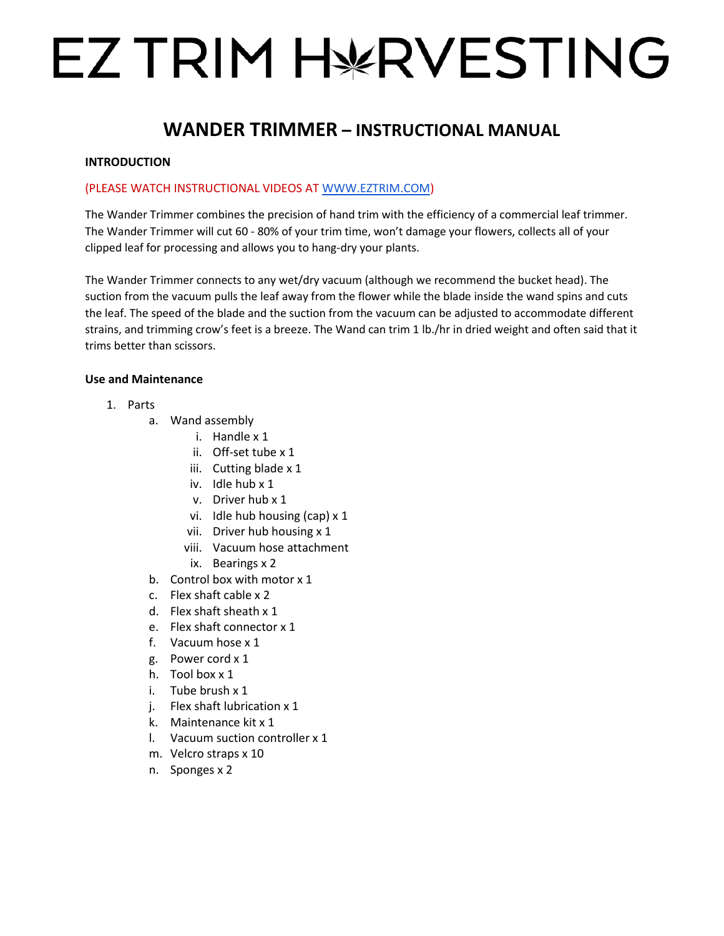# EZ TRIM H¥RVESTING

# **WANDER TRIMMER – INSTRUCTIONAL MANUAL**

# **INTRODUCTION**

# (PLEASE WATCH INSTRUCTIONAL VIDEOS AT [WWW.EZTRIM.COM\)](http://www.eztrim.com/)

The Wander Trimmer combines the precision of hand trim with the efficiency of a commercial leaf trimmer. The Wander Trimmer will cut 60 - 80% of your trim time, won't damage your flowers, collects all of your clipped leaf for processing and allows you to hang-dry your plants.

The Wander Trimmer connects to any wet/dry vacuum (although we recommend the bucket head). The suction from the vacuum pulls the leaf away from the flower while the blade inside the wand spins and cuts the leaf. The speed of the blade and the suction from the vacuum can be adjusted to accommodate different strains, and trimming crow's feet is a breeze. The Wand can trim 1 lb./hr in dried weight and often said that it trims better than scissors.

#### **Use and Maintenance**

- 1. Parts
	- a. Wand assembly
		- i. Handle x 1
		- ii. Off-set tube x 1
		- iii. Cutting blade x 1
		- iv. Idle hub x 1
		- v. Driver hub x 1
		- vi. Idle hub housing (cap) x 1
		- vii. Driver hub housing x 1
		- viii. Vacuum hose attachment
		- ix. Bearings x 2
	- b. Control box with motor x 1
	- c. Flex shaft cable x 2
	- d. Flex shaft sheath x 1
	- e. Flex shaft connector x 1
	- f. Vacuum hose x 1
	- g. Power cord x 1
	- h. Tool box x 1
	- i. Tube brush x 1
	- j. Flex shaft lubrication x 1
	- k. Maintenance kit x 1
	- l. Vacuum suction controller x 1
	- m. Velcro straps x 10
	- n. Sponges x 2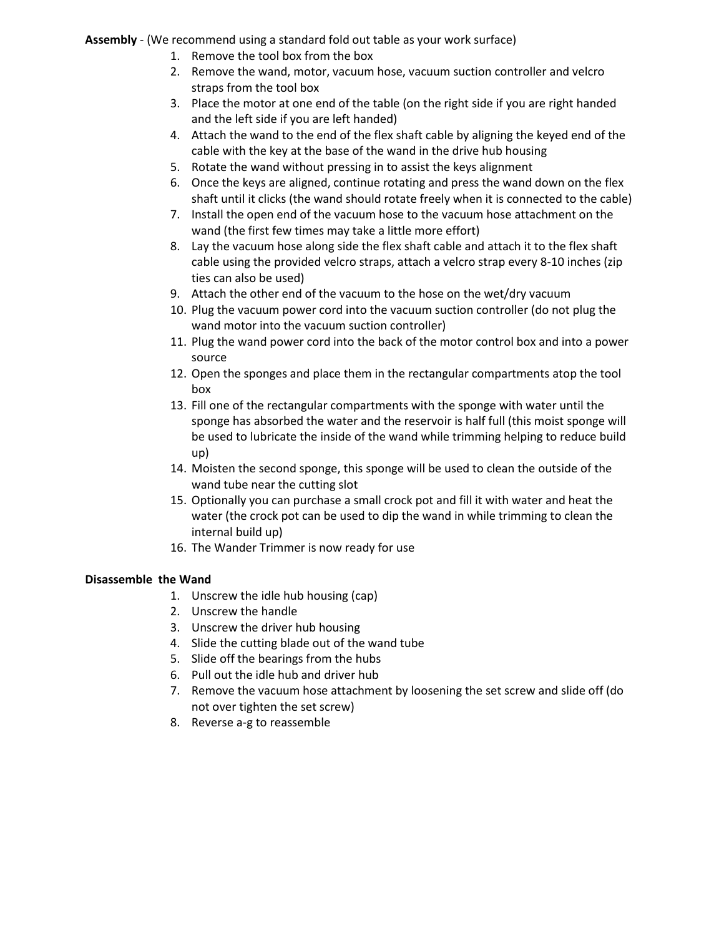#### **Assembly** - (We recommend using a standard fold out table as your work surface)

- 1. Remove the tool box from the box
- 2. Remove the wand, motor, vacuum hose, vacuum suction controller and velcro straps from the tool box
- 3. Place the motor at one end of the table (on the right side if you are right handed and the left side if you are left handed)
- 4. Attach the wand to the end of the flex shaft cable by aligning the keyed end of the cable with the key at the base of the wand in the drive hub housing
- 5. Rotate the wand without pressing in to assist the keys alignment
- 6. Once the keys are aligned, continue rotating and press the wand down on the flex shaft until it clicks (the wand should rotate freely when it is connected to the cable)
- 7. Install the open end of the vacuum hose to the vacuum hose attachment on the wand (the first few times may take a little more effort)
- 8. Lay the vacuum hose along side the flex shaft cable and attach it to the flex shaft cable using the provided velcro straps, attach a velcro strap every 8-10 inches (zip ties can also be used)
- 9. Attach the other end of the vacuum to the hose on the wet/dry vacuum
- 10. Plug the vacuum power cord into the vacuum suction controller (do not plug the wand motor into the vacuum suction controller)
- 11. Plug the wand power cord into the back of the motor control box and into a power source
- 12. Open the sponges and place them in the rectangular compartments atop the tool box
- 13. Fill one of the rectangular compartments with the sponge with water until the sponge has absorbed the water and the reservoir is half full (this moist sponge will be used to lubricate the inside of the wand while trimming helping to reduce build up)
- 14. Moisten the second sponge, this sponge will be used to clean the outside of the wand tube near the cutting slot
- 15. Optionally you can purchase a small crock pot and fill it with water and heat the water (the crock pot can be used to dip the wand in while trimming to clean the internal build up)
- 16. The Wander Trimmer is now ready for use

# **Disassemble the Wand**

- 1. Unscrew the idle hub housing (cap)
- 2. Unscrew the handle
- 3. Unscrew the driver hub housing
- 4. Slide the cutting blade out of the wand tube
- 5. Slide off the bearings from the hubs
- 6. Pull out the idle hub and driver hub
- 7. Remove the vacuum hose attachment by loosening the set screw and slide off (do not over tighten the set screw)
- 8. Reverse a-g to reassemble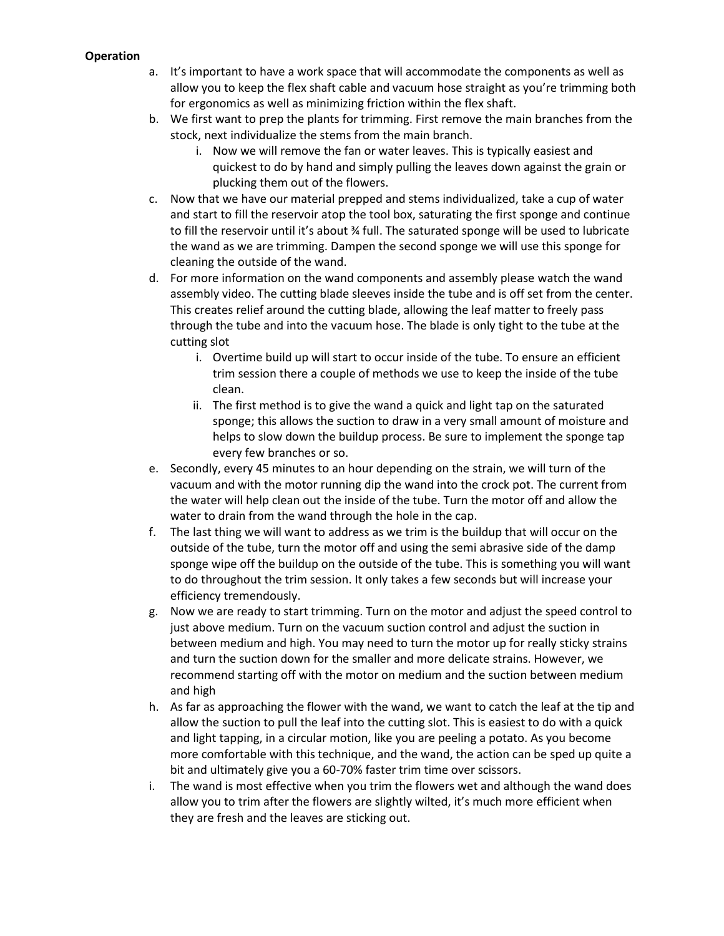## **Operation**

- a. It's important to have a work space that will accommodate the components as well as allow you to keep the flex shaft cable and vacuum hose straight as you're trimming both for ergonomics as well as minimizing friction within the flex shaft.
- b. We first want to prep the plants for trimming. First remove the main branches from the stock, next individualize the stems from the main branch.
	- i. Now we will remove the fan or water leaves. This is typically easiest and quickest to do by hand and simply pulling the leaves down against the grain or plucking them out of the flowers.
- c. Now that we have our material prepped and stems individualized, take a cup of water and start to fill the reservoir atop the tool box, saturating the first sponge and continue to fill the reservoir until it's about ¾ full. The saturated sponge will be used to lubricate the wand as we are trimming. Dampen the second sponge we will use this sponge for cleaning the outside of the wand.
- d. For more information on the wand components and assembly please watch the wand assembly video. The cutting blade sleeves inside the tube and is off set from the center. This creates relief around the cutting blade, allowing the leaf matter to freely pass through the tube and into the vacuum hose. The blade is only tight to the tube at the cutting slot
	- i. Overtime build up will start to occur inside of the tube. To ensure an efficient trim session there a couple of methods we use to keep the inside of the tube clean.
	- ii. The first method is to give the wand a quick and light tap on the saturated sponge; this allows the suction to draw in a very small amount of moisture and helps to slow down the buildup process. Be sure to implement the sponge tap every few branches or so.
- e. Secondly, every 45 minutes to an hour depending on the strain, we will turn of the vacuum and with the motor running dip the wand into the crock pot. The current from the water will help clean out the inside of the tube. Turn the motor off and allow the water to drain from the wand through the hole in the cap.
- f. The last thing we will want to address as we trim is the buildup that will occur on the outside of the tube, turn the motor off and using the semi abrasive side of the damp sponge wipe off the buildup on the outside of the tube. This is something you will want to do throughout the trim session. It only takes a few seconds but will increase your efficiency tremendously.
- g. Now we are ready to start trimming. Turn on the motor and adjust the speed control to just above medium. Turn on the vacuum suction control and adjust the suction in between medium and high. You may need to turn the motor up for really sticky strains and turn the suction down for the smaller and more delicate strains. However, we recommend starting off with the motor on medium and the suction between medium and high
- h. As far as approaching the flower with the wand, we want to catch the leaf at the tip and allow the suction to pull the leaf into the cutting slot. This is easiest to do with a quick and light tapping, in a circular motion, like you are peeling a potato. As you become more comfortable with this technique, and the wand, the action can be sped up quite a bit and ultimately give you a 60-70% faster trim time over scissors.
- i. The wand is most effective when you trim the flowers wet and although the wand does allow you to trim after the flowers are slightly wilted, it's much more efficient when they are fresh and the leaves are sticking out.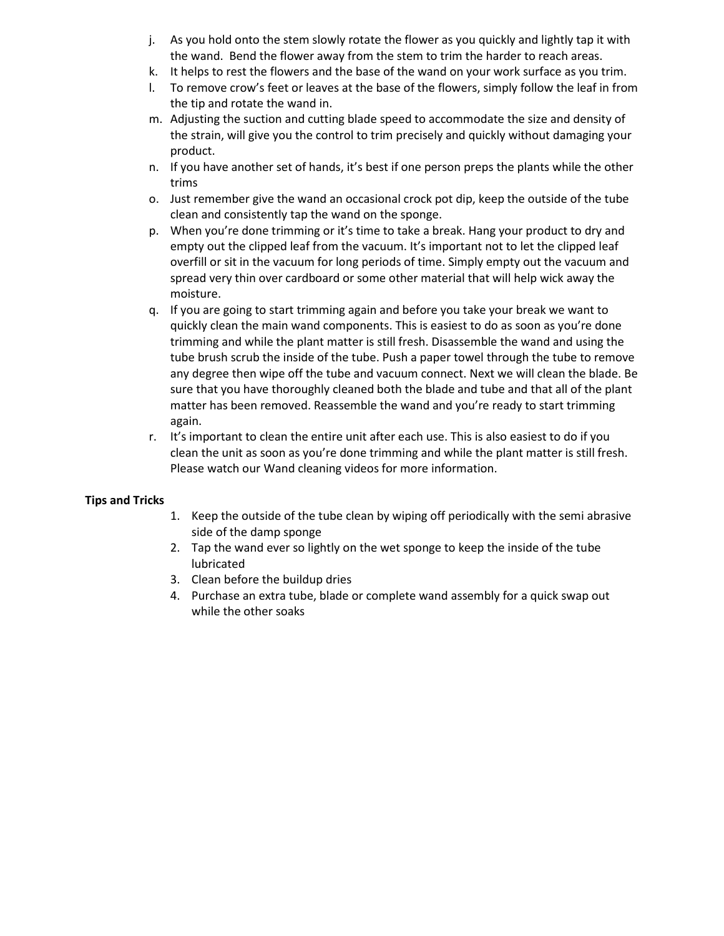- j. As you hold onto the stem slowly rotate the flower as you quickly and lightly tap it with the wand. Bend the flower away from the stem to trim the harder to reach areas.
- k. It helps to rest the flowers and the base of the wand on your work surface as you trim.
- l. To remove crow's feet or leaves at the base of the flowers, simply follow the leaf in from the tip and rotate the wand in.
- m. Adjusting the suction and cutting blade speed to accommodate the size and density of the strain, will give you the control to trim precisely and quickly without damaging your product.
- n. If you have another set of hands, it's best if one person preps the plants while the other trims
- o. Just remember give the wand an occasional crock pot dip, keep the outside of the tube clean and consistently tap the wand on the sponge.
- p. When you're done trimming or it's time to take a break. Hang your product to dry and empty out the clipped leaf from the vacuum. It's important not to let the clipped leaf overfill or sit in the vacuum for long periods of time. Simply empty out the vacuum and spread very thin over cardboard or some other material that will help wick away the moisture.
- q. If you are going to start trimming again and before you take your break we want to quickly clean the main wand components. This is easiest to do as soon as you're done trimming and while the plant matter is still fresh. Disassemble the wand and using the tube brush scrub the inside of the tube. Push a paper towel through the tube to remove any degree then wipe off the tube and vacuum connect. Next we will clean the blade. Be sure that you have thoroughly cleaned both the blade and tube and that all of the plant matter has been removed. Reassemble the wand and you're ready to start trimming again.
- r. It's important to clean the entire unit after each use. This is also easiest to do if you clean the unit as soon as you're done trimming and while the plant matter is still fresh. Please watch our Wand cleaning videos for more information.

# **Tips and Tricks**

- 1. Keep the outside of the tube clean by wiping off periodically with the semi abrasive side of the damp sponge
- 2. Tap the wand ever so lightly on the wet sponge to keep the inside of the tube lubricated
- 3. Clean before the buildup dries
- 4. Purchase an extra tube, blade or complete wand assembly for a quick swap out while the other soaks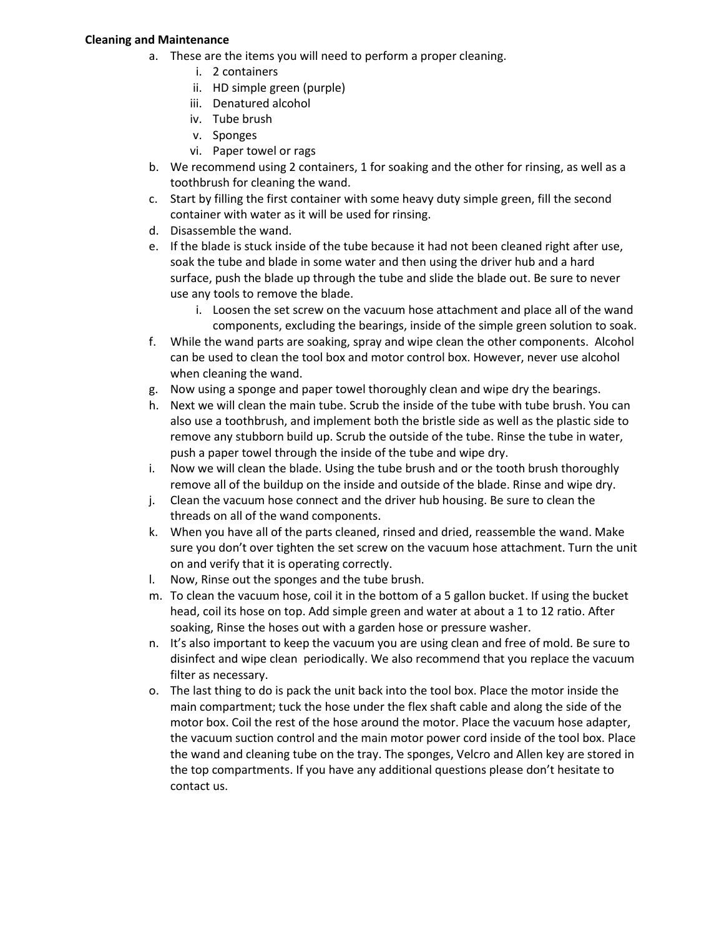#### **Cleaning and Maintenance**

- a. These are the items you will need to perform a proper cleaning.
	- i. 2 containers
	- ii. HD simple green (purple)
	- iii. Denatured alcohol
	- iv. Tube brush
	- v. Sponges
	- vi. Paper towel or rags
- b. We recommend using 2 containers, 1 for soaking and the other for rinsing, as well as a toothbrush for cleaning the wand.
- c. Start by filling the first container with some heavy duty simple green, fill the second container with water as it will be used for rinsing.
- d. Disassemble the wand.
- e. If the blade is stuck inside of the tube because it had not been cleaned right after use, soak the tube and blade in some water and then using the driver hub and a hard surface, push the blade up through the tube and slide the blade out. Be sure to never use any tools to remove the blade.
	- i. Loosen the set screw on the vacuum hose attachment and place all of the wand components, excluding the bearings, inside of the simple green solution to soak.
- f. While the wand parts are soaking, spray and wipe clean the other components. Alcohol can be used to clean the tool box and motor control box. However, never use alcohol when cleaning the wand.
- g. Now using a sponge and paper towel thoroughly clean and wipe dry the bearings.
- h. Next we will clean the main tube. Scrub the inside of the tube with tube brush. You can also use a toothbrush, and implement both the bristle side as well as the plastic side to remove any stubborn build up. Scrub the outside of the tube. Rinse the tube in water, push a paper towel through the inside of the tube and wipe dry.
- i. Now we will clean the blade. Using the tube brush and or the tooth brush thoroughly remove all of the buildup on the inside and outside of the blade. Rinse and wipe dry.
- j. Clean the vacuum hose connect and the driver hub housing. Be sure to clean the threads on all of the wand components.
- k. When you have all of the parts cleaned, rinsed and dried, reassemble the wand. Make sure you don't over tighten the set screw on the vacuum hose attachment. Turn the unit on and verify that it is operating correctly.
- l. Now, Rinse out the sponges and the tube brush.
- m. To clean the vacuum hose, coil it in the bottom of a 5 gallon bucket. If using the bucket head, coil its hose on top. Add simple green and water at about a 1 to 12 ratio. After soaking, Rinse the hoses out with a garden hose or pressure washer.
- n. It's also important to keep the vacuum you are using clean and free of mold. Be sure to disinfect and wipe clean periodically. We also recommend that you replace the vacuum filter as necessary.
- o. The last thing to do is pack the unit back into the tool box. Place the motor inside the main compartment; tuck the hose under the flex shaft cable and along the side of the motor box. Coil the rest of the hose around the motor. Place the vacuum hose adapter, the vacuum suction control and the main motor power cord inside of the tool box. Place the wand and cleaning tube on the tray. The sponges, Velcro and Allen key are stored in the top compartments. If you have any additional questions please don't hesitate to contact us.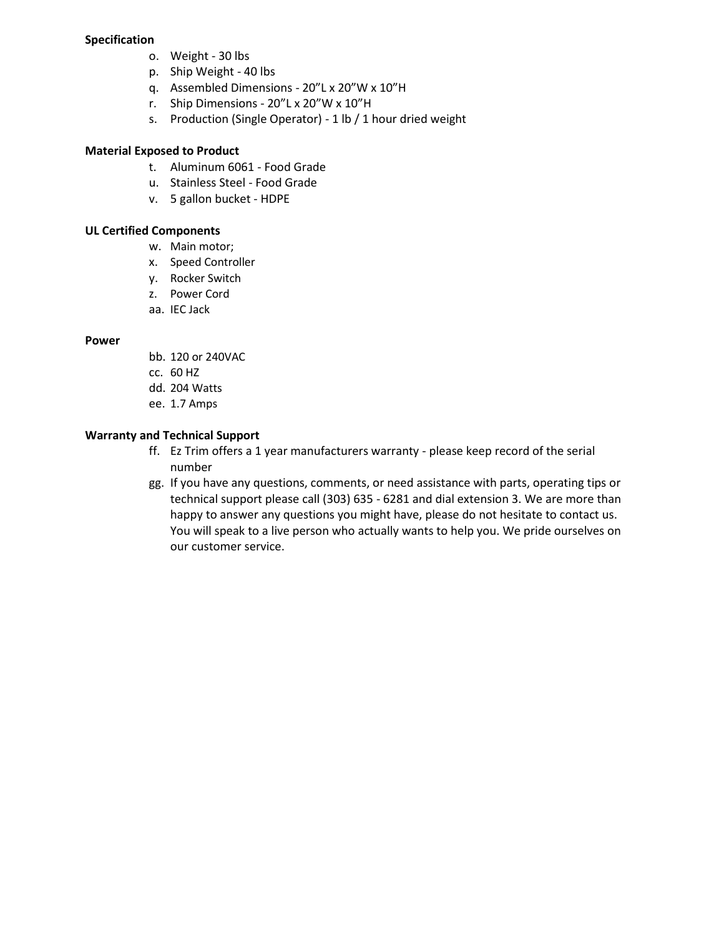#### **Specification**

- o. Weight 30 lbs
- p. Ship Weight 40 lbs
- q. Assembled Dimensions 20"L x 20"W x 10"H
- r. Ship Dimensions 20"L x 20"W x 10"H
- s. Production (Single Operator) 1 lb / 1 hour dried weight

## **Material Exposed to Product**

- t. Aluminum 6061 Food Grade
- u. Stainless Steel Food Grade
- v. 5 gallon bucket HDPE

#### **UL Certified Components**

- w. Main motor;
- x. Speed Controller
- y. Rocker Switch
- z. Power Cord
- aa. IEC Jack

#### **Power**

- bb. 120 or 240VAC
- cc. 60 HZ
- dd. 204 Watts
- ee. 1.7 Amps

## **Warranty and Technical Support**

- ff. Ez Trim offers a 1 year manufacturers warranty please keep record of the serial number
- gg. If you have any questions, comments, or need assistance with parts, operating tips or technical support please call (303) 635 - 6281 and dial extension 3. We are more than happy to answer any questions you might have, please do not hesitate to contact us. You will speak to a live person who actually wants to help you. We pride ourselves on our customer service.